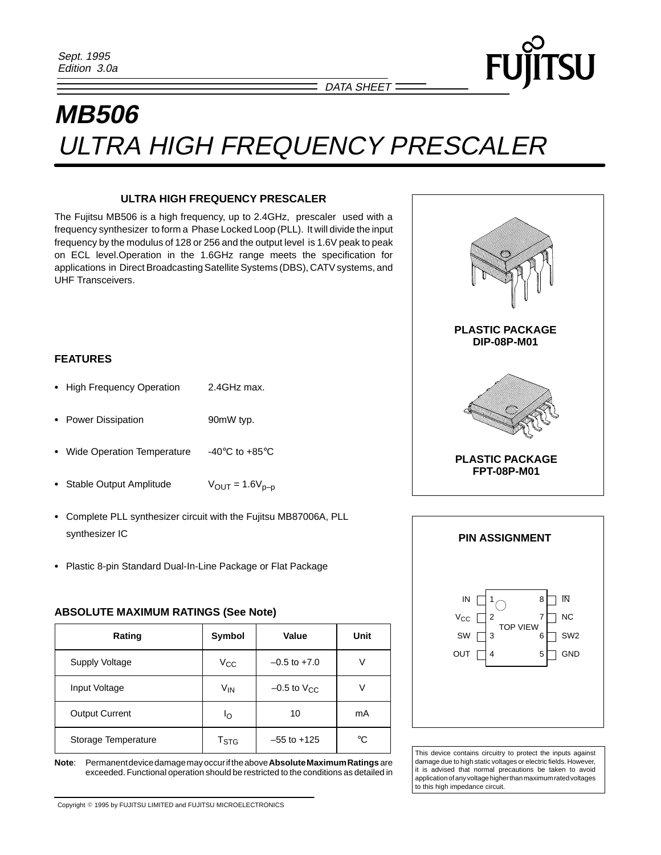# **MB506** ULTRA HIGH FREQUENCY PRESCALER

#### **ULTRA HIGH FREQUENCY PRESCALER**

The Fujitsu MB506 is a high frequency, up to 2.4GHz, prescaler used with a frequency synthesizer to form a Phase Locked Loop (PLL). It will divide the input frequency by the modulus of 128 or 256 and the output level is 1.6V peak to peak on ECL level.Operation in the 1.6GHz range meets the specification for applications in Direct Broadcasting Satellite Systems (DBS), CATV systems, and UHF Transceivers.

## **FEATURES**

- High Frequency Operation 2.4GHz max.
- Power Dissipation **90mW** typ.
- Wide Operation Temperature -40°C to +85°C
- Stable Output Amplitude  $V_{OUT} = 1.6V_{p-p}$
- Complete PLL synthesizer circuit with the Fujitsu MB87006A, PLL synthesizer IC
- Plastic 8-pin Standard Dual-In-Line Package or Flat Package

#### **ABSOLUTE MAXIMUM RATINGS (See Note)**

| Rating                | Value<br>Symbol           |                    | Unit |
|-----------------------|---------------------------|--------------------|------|
| <b>Supply Voltage</b> | $V_{\rm CC}$              | $-0.5$ to $+7.0$   | V    |
| Input Voltage         | $V_{IN}$                  | $-0.5$ to $V_{CC}$ | V    |
| <b>Output Current</b> | ١o                        | 10                 | mA   |
| Storage Temperature   | $\mathsf{T}_{\text{STG}}$ | $-55$ to $+125$    | °C   |

**Note**: Permanent device damage may occur if the above **Absolute Maximum Ratings** are exceeded. Functional operation should be restricted to the conditions as detailed in



SU



This device contains circuitry to protect the inputs against damage due to high static voltages or electric fields. However, it is advised that normal precautions be taken to avoid application of any voltage higher than maximum rated voltages to this high impedance circuit.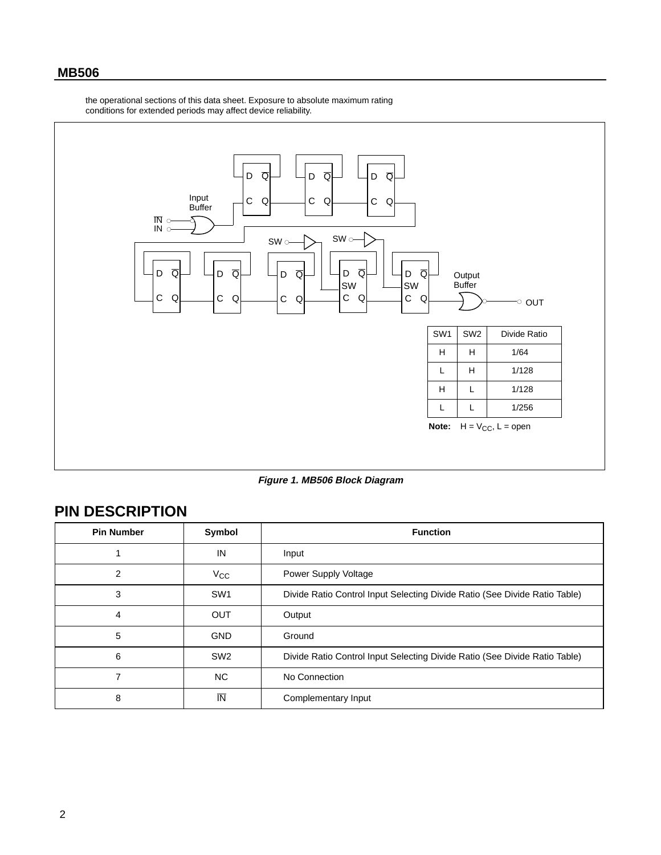the operational sections of this data sheet. Exposure to absolute maximum rating conditions for extended periods may affect device reliability.



**Figure 1. MB506 Block Diagram**

## **PIN DESCRIPTION**

| <b>Pin Number</b> | Symbol                  | <b>Function</b>                                                            |  |  |
|-------------------|-------------------------|----------------------------------------------------------------------------|--|--|
|                   | IN                      | Input                                                                      |  |  |
| 2                 | $V_{CC}$                | Power Supply Voltage                                                       |  |  |
| 3                 | SW <sub>1</sub>         | Divide Ratio Control Input Selecting Divide Ratio (See Divide Ratio Table) |  |  |
| 4                 | <b>OUT</b>              | Output                                                                     |  |  |
| 5                 | <b>GND</b>              | Ground                                                                     |  |  |
| 6                 | SW <sub>2</sub>         | Divide Ratio Control Input Selecting Divide Ratio (See Divide Ratio Table) |  |  |
| 7                 | <b>NC</b>               | No Connection                                                              |  |  |
| 8                 | $\overline{\mathsf{N}}$ | Complementary Input                                                        |  |  |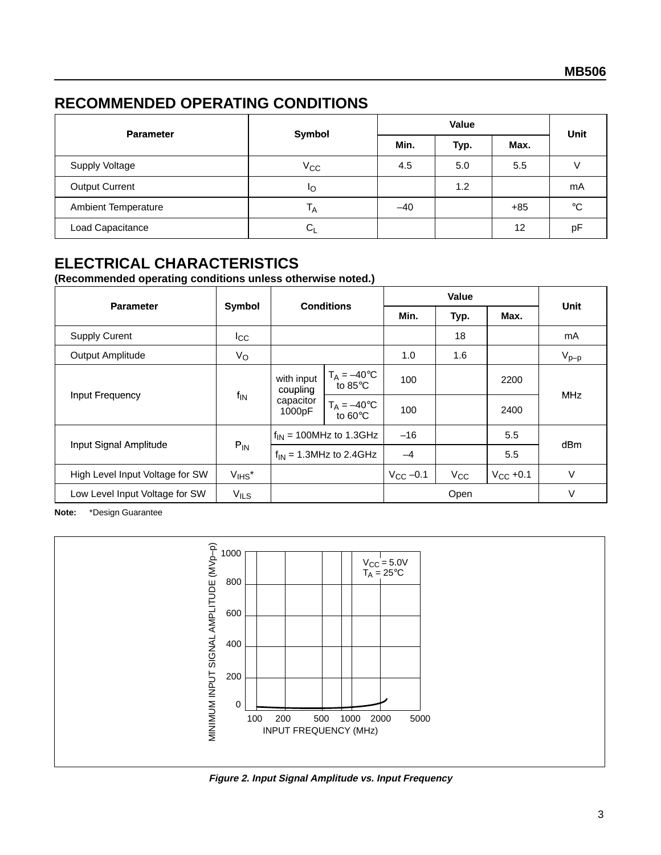## **RECOMMENDED OPERATING CONDITIONS**

| <b>Parameter</b>           | Symbol         | Value |      |       |             |
|----------------------------|----------------|-------|------|-------|-------------|
|                            |                | Min.  | Typ. | Max.  | Unit        |
| <b>Supply Voltage</b>      | $V_{\rm CC}$   | 4.5   | 5.0  | 5.5   |             |
| <b>Output Current</b>      | ΙO             |       | 1.2  |       | mA          |
| <b>Ambient Temperature</b> | <sup>1</sup> A | $-40$ |      | $+85$ | $^{\circ}C$ |
| Load Capacitance           | $C_{1}$        |       |      | 12    | pF          |

## **ELECTRICAL CHARACTERISTICS**

**(Recommended operating conditions unless otherwise noted.)**

| <b>Parameter</b>                | Symbol           | <b>Conditions</b>                             |                                                    | Value             |              |               |             |
|---------------------------------|------------------|-----------------------------------------------|----------------------------------------------------|-------------------|--------------|---------------|-------------|
|                                 |                  |                                               |                                                    | Min.              | Typ.         | Max.          | <b>Unit</b> |
| <b>Supply Curent</b>            | $_{\rm{lcc}}$    |                                               |                                                    |                   | 18           |               | mA          |
| Output Amplitude                | $V_{\rm O}$      |                                               |                                                    | 1.0               | 1.6          |               | $V_{p-p}$   |
| Input Frequency                 | $f_{\text{IN}}$  | with input<br>coupling<br>capacitor<br>1000pF | $T_A = -40$ °C<br>$\overline{1}$ to 85 $\degree$ C | 100               |              | 2200          | <b>MHz</b>  |
|                                 |                  |                                               | $T_A = -40$ °C<br>to $60^{\circ}$ C                | 100               |              | 2400          |             |
| Input Signal Amplitude          | $P_{IN}$         |                                               | $f_{IN}$ = 100MHz to 1.3GHz                        | $-16$             |              | 5.5           |             |
|                                 |                  |                                               | $f_{IN}$ = 1.3MHz to 2.4GHz                        | $-4$              |              | 5.5           | dBm         |
| High Level Input Voltage for SW | $V_{IHS}^*$      |                                               |                                                    | $V_{\rm CC}$ –0.1 | $V_{\rm CC}$ | $V_{CC}$ +0.1 | $\vee$      |
| Low Level Input Voltage for SW  | V <sub>ILS</sub> |                                               |                                                    |                   | Open         |               | $\vee$      |

**Note:** \*Design Guarantee



**Figure 2. Input Signal Amplitude vs. Input Frequency**